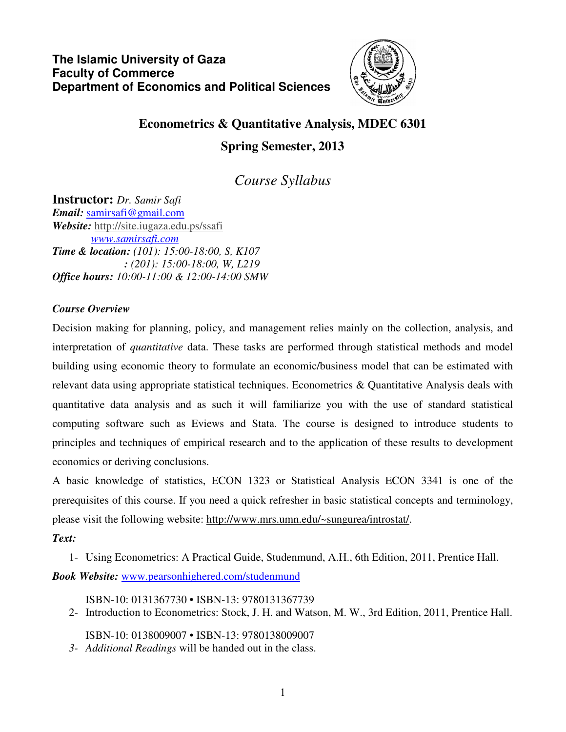

# **Econometrics & Quantitative Analysis, MDEC 6301** **Spring Semester, 2013**

*Course Syllabus*

**Instructor:** *Dr. Samir Safi Email:* samirsafi@gmail.com *Website:* http://site.iugaza.edu.ps/ssafi  *www.samirsafi.com Time & location: (101): 15:00-18:00, S, K107 : (201): 15:00-18:00, W, L219 Office hours: 10:00-11:00 & 12:00-14:00 SMW* 

## *Course Overview*

Decision making for planning, policy, and management relies mainly on the collection, analysis, and interpretation of *quantitative* data. These tasks are performed through statistical methods and model building using economic theory to formulate an economic/business model that can be estimated with relevant data using appropriate statistical techniques. Econometrics & Quantitative Analysis deals with quantitative data analysis and as such it will familiarize you with the use of standard statistical computing software such as Eviews and Stata. The course is designed to introduce students to principles and techniques of empirical research and to the application of these results to development economics or deriving conclusions.

A basic knowledge of statistics, ECON 1323 or Statistical Analysis ECON 3341 is one of the prerequisites of this course. If you need a quick refresher in basic statistical concepts and terminology, please visit the following website: http://www.mrs.umn.edu/~sungurea/introstat/.

# *Text:*

1- Using Econometrics: A Practical Guide, Studenmund, A.H., 6th Edition, 2011, Prentice Hall.

*Book Website:* www.pearsonhighered.com/studenmund

ISBN-10: 0131367730 • ISBN-13: 9780131367739

2- Introduction to Econometrics: Stock, J. H. and Watson, M. W., 3rd Edition, 2011, Prentice Hall.

ISBN-10: 0138009007 • ISBN-13: 9780138009007

*3- Additional Readings* will be handed out in the class.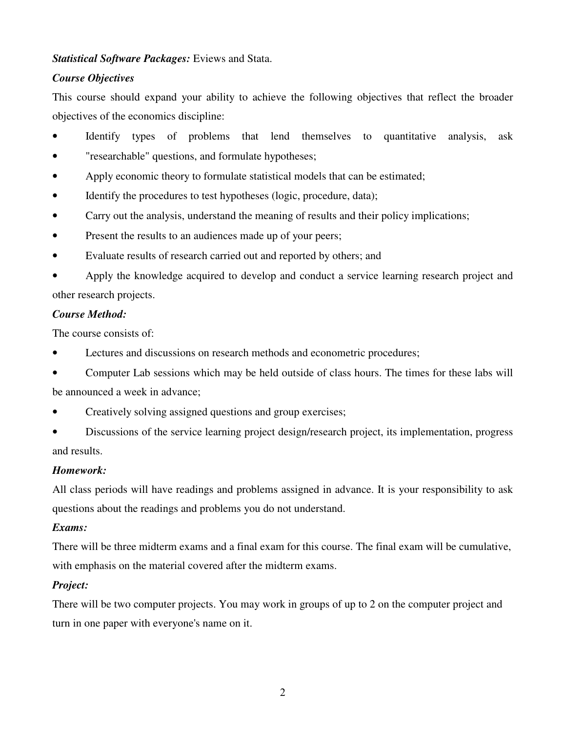#### *Statistical Software Packages:* Eviews and Stata.

#### *Course Objectives*

This course should expand your ability to achieve the following objectives that reflect the broader objectives of the economics discipline:

- Identify types of problems that lend themselves to quantitative analysis, ask
- "researchable" questions, and formulate hypotheses;
- Apply economic theory to formulate statistical models that can be estimated;
- Identify the procedures to test hypotheses (logic, procedure, data);
- Carry out the analysis, understand the meaning of results and their policy implications;
- Present the results to an audiences made up of your peers;
- Evaluate results of research carried out and reported by others; and
- Apply the knowledge acquired to develop and conduct a service learning research project and other research projects.

#### *Course Method:*

The course consists of:

- Lectures and discussions on research methods and econometric procedures;
- Computer Lab sessions which may be held outside of class hours. The times for these labs will be announced a week in advance;
- Creatively solving assigned questions and group exercises;
- Discussions of the service learning project design/research project, its implementation, progress and results.

#### *Homework:*

All class periods will have readings and problems assigned in advance. It is your responsibility to ask questions about the readings and problems you do not understand.

#### *Exams:*

There will be three midterm exams and a final exam for this course. The final exam will be cumulative, with emphasis on the material covered after the midterm exams.

#### *Project:*

There will be two computer projects. You may work in groups of up to 2 on the computer project and turn in one paper with everyone's name on it.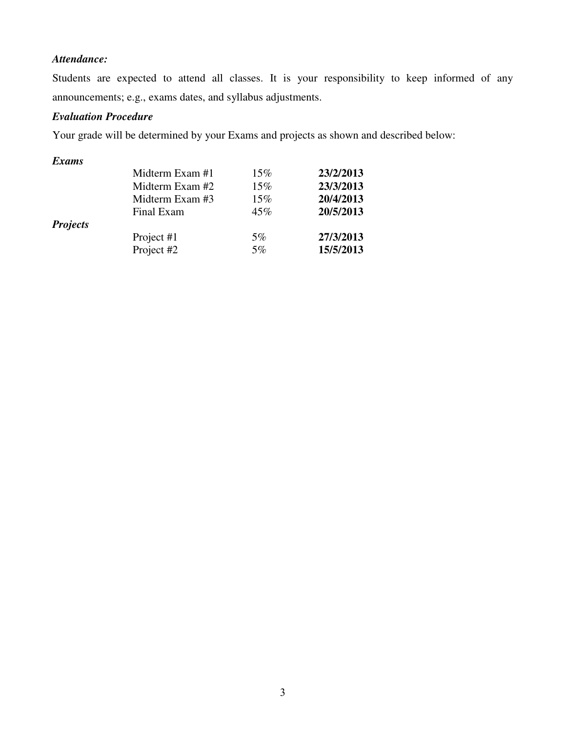# *Attendance:*

Students are expected to attend all classes. It is your responsibility to keep informed of any announcements; e.g., exams dates, and syllabus adjustments.

## *Evaluation Procedure*

Your grade will be determined by your Exams and projects as shown and described below:

#### *Exams*

|                 | Midterm Exam #1 | 15%   | 23/2/2013 |
|-----------------|-----------------|-------|-----------|
|                 | Midterm Exam #2 | 15%   | 23/3/2013 |
|                 | Midterm Exam #3 | 15%   | 20/4/2013 |
|                 | Final Exam      | 45%   | 20/5/2013 |
| <b>Projects</b> |                 |       |           |
|                 | Project #1      | $5\%$ | 27/3/2013 |
|                 | Project #2      | $5\%$ | 15/5/2013 |